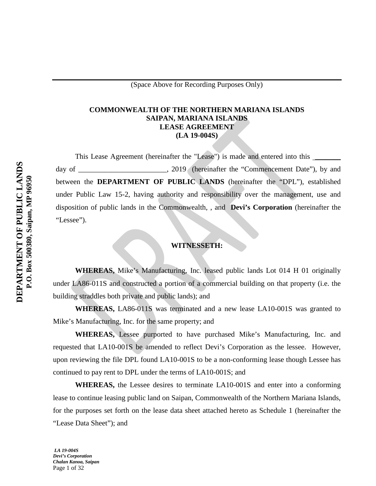## **COMMONWEALTH OF THE NORTHERN MARIANA ISLANDS SAIPAN, MARIANA ISLANDS LEASE AGREEMENT (LA 19-004S)**

This Lease Agreement (hereinafter the "Lease") is made and entered into this day of cases and comment Date"), by and day of  $\sim 2019$  (hereinafter the "Commencement Date"), by and between the **DEPARTMENT OF PUBLIC LANDS** (hereinafter the "DPL"), established under Public Law 15-2, having authority and responsibility over the management, use and disposition of public lands in the Commonwealth, , and **Devi's Corporation** (hereinafter the "Lessee").

## **WITNESSETH:**

**WHEREAS,** Mike's Manufacturing, Inc. leased public lands Lot 014 H 01 originally under LA86-011S and constructed a portion of a commercial building on that property (i.e. the building straddles both private and public lands); and

**WHEREAS,** LA86-011S was terminated and a new lease LA10-001S was granted to Mike's Manufacturing, Inc. for the same property; and

**WHEREAS,** Lessee purported to have purchased Mike's Manufacturing, Inc. and requested that LA10-001S be amended to reflect Devi's Corporation as the lessee. However, upon reviewing the file DPL found LA10-001S to be a non-conforming lease though Lessee has continued to pay rent to DPL under the terms of LA10-001S; and

**WHEREAS,** the Lessee desires to terminate LA10-001S and enter into a conforming lease to continue leasing public land on Saipan, Commonwealth of the Northern Mariana Islands, for the purposes set forth on the lease data sheet attached hereto as Schedule 1 (hereinafter the "Lease Data Sheet"); and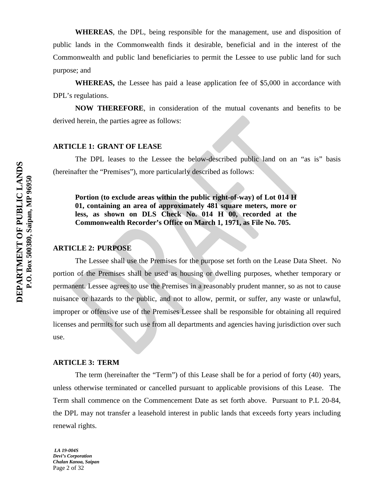**WHEREAS**, the DPL, being responsible for the management, use and disposition of public lands in the Commonwealth finds it desirable, beneficial and in the interest of the Commonwealth and public land beneficiaries to permit the Lessee to use public land for such purpose; and

**WHEREAS,** the Lessee has paid a lease application fee of \$5,000 in accordance with DPL's regulations.

**NOW THEREFORE**, in consideration of the mutual covenants and benefits to be derived herein, the parties agree as follows:

## **ARTICLE 1: GRANT OF LEASE**

The DPL leases to the Lessee the below-described public land on an "as is" basis (hereinafter the "Premises"), more particularly described as follows:

**Portion (to exclude areas within the public right-of-way) of Lot 014 H 01, containing an area of approximately 481 square meters, more or less, as shown on DLS Check No. 014 H 00, recorded at the Commonwealth Recorder's Office on March 1, 1971, as File No. 705.**

#### **ARTICLE 2: PURPOSE**

The Lessee shall use the Premises for the purpose set forth on the Lease Data Sheet. No portion of the Premises shall be used as housing or dwelling purposes, whether temporary or permanent. Lessee agrees to use the Premises in a reasonably prudent manner, so as not to cause nuisance or hazards to the public, and not to allow, permit, or suffer, any waste or unlawful, improper or offensive use of the Premises Lessee shall be responsible for obtaining all required licenses and permits for such use from all departments and agencies having jurisdiction over such use.

#### **ARTICLE 3: TERM**

The term (hereinafter the "Term") of this Lease shall be for a period of forty (40) years, unless otherwise terminated or cancelled pursuant to applicable provisions of this Lease. The Term shall commence on the Commencement Date as set forth above. Pursuant to P.L 20-84, the DPL may not transfer a leasehold interest in public lands that exceeds forty years including renewal rights.

*LA 19-004S Devi's Corporation Chalan Kanoa, Saipan* Page 2 of 32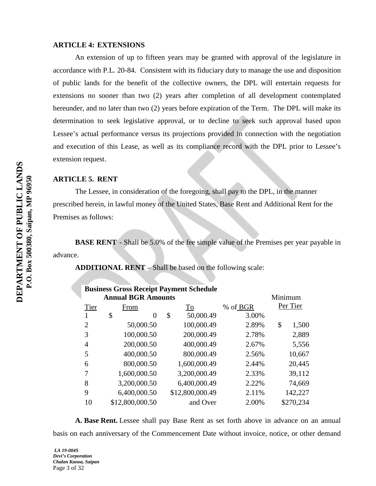#### **ARTICLE 4: EXTENSIONS**

An extension of up to fifteen years may be granted with approval of the legislature in accordance with P.L. 20-84. Consistent with its fiduciary duty to manage the use and disposition of public lands for the benefit of the collective owners, the DPL will entertain requests for extensions no sooner than two (2) years after completion of all development contemplated hereunder, and no later than two (2) years before expiration of the Term. The DPL will make its determination to seek legislative approval, or to decline to seek such approval based upon Lessee's actual performance versus its projections provided in connection with the negotiation and execution of this Lease, as well as its compliance record with the DPL prior to Lessee's extension request.

## **ARTICLE 5. RENT**

The Lessee, in consideration of the foregoing, shall pay to the DPL, in the manner prescribed herein, in lawful money of the United States, Base Rent and Additional Rent for the Premises as follows:

**BASE RENT** - Shall be 5.0% of the fee simple value of the Premises per year payable in advance.

**ADDITIONAL RENT** – Shall be based on the following scale:

**Business Gross Receipt Payment Schedule**

|      | <b>Annual BGR Amounts</b> |                 | Minimum  |    |           |
|------|---------------------------|-----------------|----------|----|-----------|
| Tier | From                      | To              | % of BGR |    | Per Tier  |
|      | \$<br>$\theta$            | \$<br>50,000.49 | 3.00%    |    |           |
| 2    | 50,000.50                 | 100,000.49      | 2.89%    | \$ | 1,500     |
| 3    | 100,000.50                | 200,000.49      | 2.78%    |    | 2,889     |
| 4    | 200,000.50                | 400,000.49      | 2.67%    |    | 5,556     |
| 5    | 400,000.50                | 800,000.49      | 2.56%    |    | 10,667    |
| 6    | 800,000.50                | 1,600,000.49    | 2.44%    |    | 20,445    |
| 7    | 1,600,000.50              | 3,200,000.49    | 2.33%    |    | 39,112    |
| 8    | 3,200,000.50              | 6,400,000.49    | 2.22%    |    | 74,669    |
| 9    | 6,400,000.50              | \$12,800,000.49 | 2.11%    |    | 142,227   |
| 10   | \$12,800,000.50           | and Over        | 2.00%    |    | \$270,234 |

**A. Base Rent.** Lessee shall pay Base Rent as set forth above in advance on an annual basis on each anniversary of the Commencement Date without invoice, notice, or other demand

*LA 19-004S Devi's Corporation Chalan Kanoa, Saipan* Page 3 of 32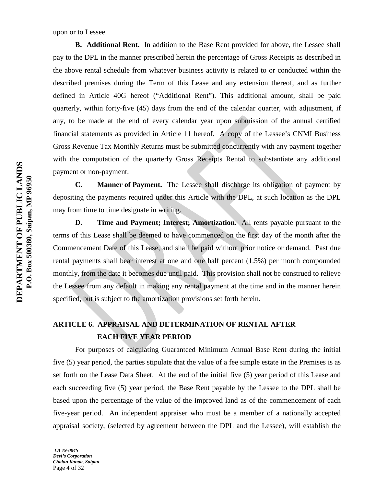upon or to Lessee.

**B. Additional Rent.** In addition to the Base Rent provided for above, the Lessee shall pay to the DPL in the manner prescribed herein the percentage of Gross Receipts as described in the above rental schedule from whatever business activity is related to or conducted within the described premises during the Term of this Lease and any extension thereof, and as further defined in Article 40G hereof ("Additional Rent"). This additional amount, shall be paid quarterly, within forty-five (45) days from the end of the calendar quarter, with adjustment, if any, to be made at the end of every calendar year upon submission of the annual certified financial statements as provided in Article 11 hereof. A copy of the Lessee's CNMI Business Gross Revenue Tax Monthly Returns must be submitted concurrently with any payment together with the computation of the quarterly Gross Receipts Rental to substantiate any additional payment or non-payment.

**C. Manner of Payment.** The Lessee shall discharge its obligation of payment by depositing the payments required under this Article with the DPL, at such location as the DPL may from time to time designate in writing.

**D. Time and Payment; Interest; Amortization.** All rents payable pursuant to the terms of this Lease shall be deemed to have commenced on the first day of the month after the Commencement Date of this Lease, and shall be paid without prior notice or demand. Past due rental payments shall bear interest at one and one half percent (1.5%) per month compounded monthly, from the date it becomes due until paid. This provision shall not be construed to relieve the Lessee from any default in making any rental payment at the time and in the manner herein specified, but is subject to the amortization provisions set forth herein.

# **ARTICLE 6. APPRAISAL AND DETERMINATION OF RENTAL AFTER EACH FIVE YEAR PERIOD**

For purposes of calculating Guaranteed Minimum Annual Base Rent during the initial five (5) year period, the parties stipulate that the value of a fee simple estate in the Premises is as set forth on the Lease Data Sheet. At the end of the initial five (5) year period of this Lease and each succeeding five (5) year period, the Base Rent payable by the Lessee to the DPL shall be based upon the percentage of the value of the improved land as of the commencement of each five-year period. An independent appraiser who must be a member of a nationally accepted appraisal society, (selected by agreement between the DPL and the Lessee), will establish the

*LA 19-004S Devi's Corporation Chalan Kanoa, Saipan* Page 4 of 32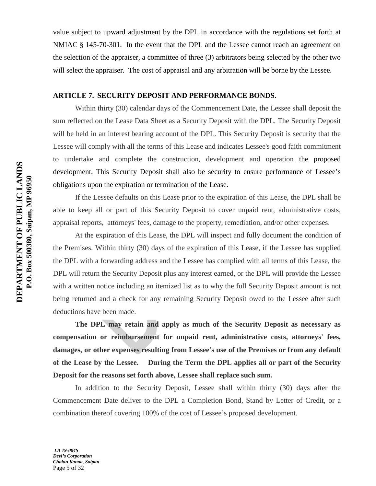value subject to upward adjustment by the DPL in accordance with the regulations set forth at NMIAC § 145-70-301. In the event that the DPL and the Lessee cannot reach an agreement on the selection of the appraiser, a committee of three (3) arbitrators being selected by the other two will select the appraiser. The cost of appraisal and any arbitration will be borne by the Lessee.

## **ARTICLE 7. SECURITY DEPOSIT AND PERFORMANCE BONDS**.

Within thirty (30) calendar days of the Commencement Date, the Lessee shall deposit the sum reflected on the Lease Data Sheet as a Security Deposit with the DPL. The Security Deposit will be held in an interest bearing account of the DPL. This Security Deposit is security that the Lessee will comply with all the terms of this Lease and indicates Lessee's good faith commitment to undertake and complete the construction, development and operation the proposed development. This Security Deposit shall also be security to ensure performance of Lessee's obligations upon the expiration or termination of the Lease.

If the Lessee defaults on this Lease prior to the expiration of this Lease, the DPL shall be able to keep all or part of this Security Deposit to cover unpaid rent, administrative costs, appraisal reports, attorneys' fees, damage to the property, remediation, and/or other expenses.

At the expiration of this Lease, the DPL will inspect and fully document the condition of the Premises. Within thirty (30) days of the expiration of this Lease, if the Lessee has supplied the DPL with a forwarding address and the Lessee has complied with all terms of this Lease, the DPL will return the Security Deposit plus any interest earned, or the DPL will provide the Lessee with a written notice including an itemized list as to why the full Security Deposit amount is not being returned and a check for any remaining Security Deposit owed to the Lessee after such deductions have been made.

**The DPL may retain and apply as much of the Security Deposit as necessary as compensation or reimbursement for unpaid rent, administrative costs, attorneys' fees, damages, or other expenses resulting from Lessee's use of the Premises or from any default of the Lease by the Lessee. During the Term the DPL applies all or part of the Security Deposit for the reasons set forth above, Lessee shall replace such sum.**

In addition to the Security Deposit, Lessee shall within thirty (30) days after the Commencement Date deliver to the DPL a Completion Bond, Stand by Letter of Credit, or a combination thereof covering 100% of the cost of Lessee's proposed development.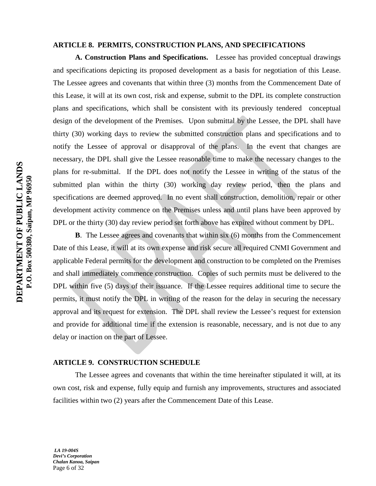### **ARTICLE 8. PERMITS, CONSTRUCTION PLANS, AND SPECIFICATIONS**

**A. Construction Plans and Specifications.** Lessee has provided conceptual drawings and specifications depicting its proposed development as a basis for negotiation of this Lease. The Lessee agrees and covenants that within three (3) months from the Commencement Date of this Lease, it will at its own cost, risk and expense, submit to the DPL its complete construction plans and specifications, which shall be consistent with its previously tendered conceptual design of the development of the Premises. Upon submittal by the Lessee, the DPL shall have thirty (30) working days to review the submitted construction plans and specifications and to notify the Lessee of approval or disapproval of the plans. In the event that changes are necessary, the DPL shall give the Lessee reasonable time to make the necessary changes to the plans for re-submittal. If the DPL does not notify the Lessee in writing of the status of the submitted plan within the thirty (30) working day review period, then the plans and specifications are deemed approved. In no event shall construction, demolition, repair or other development activity commence on the Premises unless and until plans have been approved by DPL or the thirty (30) day review period set forth above has expired without comment by DPL.

**B**. The Lessee agrees and covenants that within six (6) months from the Commencement Date of this Lease, it will at its own expense and risk secure all required CNMI Government and applicable Federal permits for the development and construction to be completed on the Premises and shall immediately commence construction. Copies of such permits must be delivered to the DPL within five (5) days of their issuance. If the Lessee requires additional time to secure the permits, it must notify the DPL in writing of the reason for the delay in securing the necessary approval and its request for extension. The DPL shall review the Lessee's request for extension and provide for additional time if the extension is reasonable, necessary, and is not due to any delay or inaction on the part of Lessee.

#### **ARTICLE 9. CONSTRUCTION SCHEDULE**

The Lessee agrees and covenants that within the time hereinafter stipulated it will, at its own cost, risk and expense, fully equip and furnish any improvements, structures and associated facilities within two (2) years after the Commencement Date of this Lease.

*LA 19-004S Devi's Corporation Chalan Kanoa, Saipan* Page 6 of 32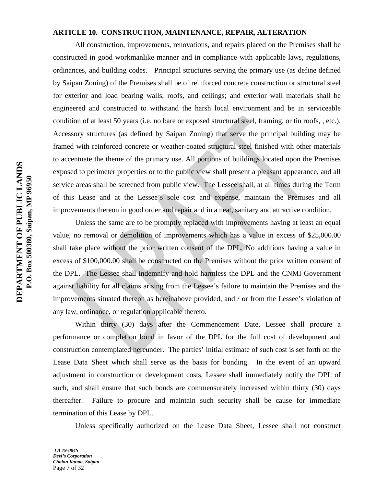#### **ARTICLE 10. CONSTRUCTION, MAINTENANCE, REPAIR, ALTERATION**

All construction, improvements, renovations, and repairs placed on the Premises shall be constructed in good workmanlike manner and in compliance with applicable laws, regulations, ordinances, and building codes. Principal structures serving the primary use (as define defined by Saipan Zoning) of the Premises shall be of reinforced concrete construction or structural steel for exterior and load bearing walls, roofs, and ceilings; and exterior wall materials shall be engineered and constructed to withstand the harsh local environment and be in serviceable condition of at least 50 years (i.e. no bare or exposed structural steel, framing, or tin roofs, , etc.). Accessory structures (as defined by Saipan Zoning) that serve the principal building may be framed with reinforced concrete or weather-coated structural steel finished with other materials to accentuate the theme of the primary use. All portions of buildings located upon the Premises exposed to perimeter properties or to the public view shall present a pleasant appearance, and all service areas shall be screened from public view. The Lessee shall, at all times during the Term of this Lease and at the Lessee's sole cost and expense, maintain the Premises and all improvements thereon in good order and repair and in a neat, sanitary and attractive condition.

Unless the same are to be promptly replaced with improvements having at least an equal value, no removal or demolition of improvements which has a value in excess of \$25,000.00 shall take place without the prior written consent of the DPL. No additions having a value in excess of \$100,000.00 shall be constructed on the Premises without the prior written consent of the DPL. The Lessee shall indemnify and hold harmless the DPL and the CNMI Government against liability for all claims arising from the Lessee's failure to maintain the Premises and the improvements situated thereon as hereinabove provided, and / or from the Lessee's violation of any law, ordinance, or regulation applicable thereto.

Within thirty (30) days after the Commencement Date, Lessee shall procure a performance or completion bond in favor of the DPL for the full cost of development and construction contemplated hereunder. The parties' initial estimate of such cost is set forth on the Lease Data Sheet which shall serve as the basis for bonding. In the event of an upward adjustment in construction or development costs, Lessee shall immediately notify the DPL of such, and shall ensure that such bonds are commensurately increased within thirty (30) days thereafter. Failure to procure and maintain such security shall be cause for immediate termination of this Lease by DPL.

Unless specifically authorized on the Lease Data Sheet, Lessee shall not construct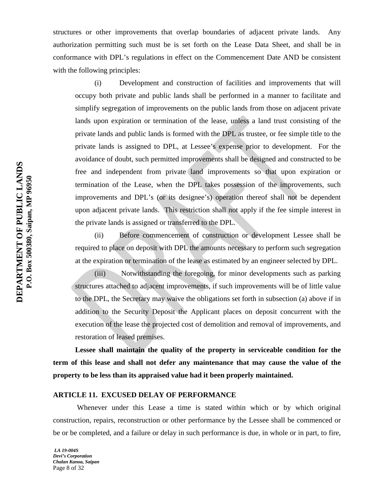structures or other improvements that overlap boundaries of adjacent private lands. Any authorization permitting such must be is set forth on the Lease Data Sheet, and shall be in conformance with DPL's regulations in effect on the Commencement Date AND be consistent with the following principles:

(i) Development and construction of facilities and improvements that will occupy both private and public lands shall be performed in a manner to facilitate and simplify segregation of improvements on the public lands from those on adjacent private lands upon expiration or termination of the lease, unless a land trust consisting of the private lands and public lands is formed with the DPL as trustee, or fee simple title to the private lands is assigned to DPL, at Lessee's expense prior to development. For the avoidance of doubt, such permitted improvements shall be designed and constructed to be free and independent from private land improvements so that upon expiration or termination of the Lease, when the DPL takes possession of the improvements, such improvements and DPL's (or its designee's) operation thereof shall not be dependent upon adjacent private lands. This restriction shall not apply if the fee simple interest in the private lands is assigned or transferred to the DPL.

(ii) Before commencement of construction or development Lessee shall be required to place on deposit with DPL the amounts necessary to perform such segregation at the expiration or termination of the lease as estimated by an engineer selected by DPL.

(iii) Notwithstanding the foregoing, for minor developments such as parking structures attached to adjacent improvements, if such improvements will be of little value to the DPL, the Secretary may waive the obligations set forth in subsection (a) above if in addition to the Security Deposit the Applicant places on deposit concurrent with the execution of the lease the projected cost of demolition and removal of improvements, and restoration of leased premises.

**Lessee shall maintain the quality of the property in serviceable condition for the term of this lease and shall not defer any maintenance that may cause the value of the property to be less than its appraised value had it been properly maintained.**

## **ARTICLE 11. EXCUSED DELAY OF PERFORMANCE**

Whenever under this Lease a time is stated within which or by which original construction, repairs, reconstruction or other performance by the Lessee shall be commenced or be or be completed, and a failure or delay in such performance is due, in whole or in part, to fire,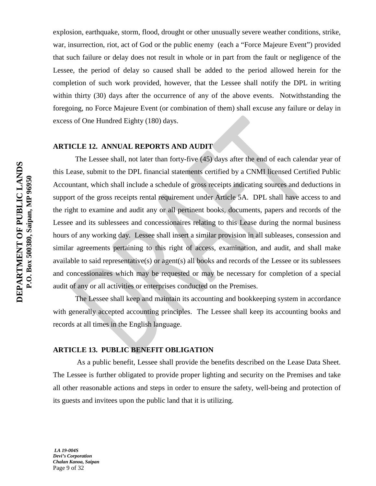explosion, earthquake, storm, flood, drought or other unusually severe weather conditions, strike, war, insurrection, riot, act of God or the public enemy (each a "Force Majeure Event") provided that such failure or delay does not result in whole or in part from the fault or negligence of the Lessee, the period of delay so caused shall be added to the period allowed herein for the completion of such work provided, however, that the Lessee shall notify the DPL in writing within thirty (30) days after the occurrence of any of the above events. Notwithstanding the foregoing, no Force Majeure Event (or combination of them) shall excuse any failure or delay in excess of One Hundred Eighty (180) days.

## **ARTICLE 12. ANNUAL REPORTS AND AUDIT**

The Lessee shall, not later than forty-five (45) days after the end of each calendar year of this Lease, submit to the DPL financial statements certified by a CNMI licensed Certified Public Accountant, which shall include a schedule of gross receipts indicating sources and deductions in support of the gross receipts rental requirement under Article 5A. DPL shall have access to and the right to examine and audit any or all pertinent books, documents, papers and records of the Lessee and its sublessees and concessionaires relating to this Lease during the normal business hours of any working day. Lessee shall insert a similar provision in all subleases, consession and similar agreements pertaining to this right of access, examination, and audit, and shall make available to said representative(s) or agent(s) all books and records of the Lessee or its sublessees and concessionaires which may be requested or may be necessary for completion of a special audit of any or all activities or enterprises conducted on the Premises.

The Lessee shall keep and maintain its accounting and bookkeeping system in accordance with generally accepted accounting principles. The Lessee shall keep its accounting books and records at all times in the English language.

## **ARTICLE 13. PUBLIC BENEFIT OBLIGATION**

As a public benefit, Lessee shall provide the benefits described on the Lease Data Sheet. The Lessee is further obligated to provide proper lighting and security on the Premises and take all other reasonable actions and steps in order to ensure the safety, well-being and protection of its guests and invitees upon the public land that it is utilizing.

*LA 19-004S Devi's Corporation Chalan Kanoa, Saipan* Page 9 of 32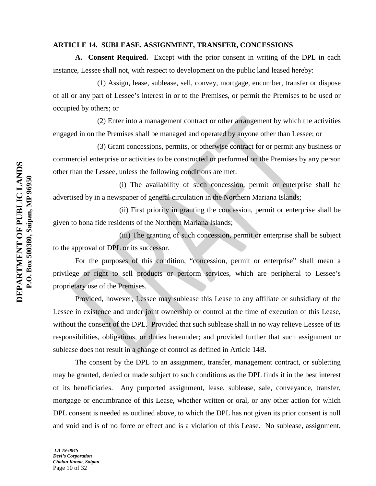#### **ARTICLE 14. SUBLEASE, ASSIGNMENT, TRANSFER, CONCESSIONS**

**A. Consent Required.** Except with the prior consent in writing of the DPL in each instance, Lessee shall not, with respect to development on the public land leased hereby:

(1) Assign, lease, sublease, sell, convey, mortgage, encumber, transfer or dispose of all or any part of Lessee's interest in or to the Premises, or permit the Premises to be used or occupied by others; or

(2) Enter into a management contract or other arrangement by which the activities engaged in on the Premises shall be managed and operated by anyone other than Lessee; or

(3) Grant concessions, permits, or otherwise contract for or permit any business or commercial enterprise or activities to be constructed or performed on the Premises by any person other than the Lessee, unless the following conditions are met:

(i) The availability of such concession, permit or enterprise shall be advertised by in a newspaper of general circulation in the Northern Mariana Islands;

(ii) First priority in granting the concession, permit or enterprise shall be given to bona fide residents of the Northern Mariana Islands;

(iii) The granting of such concession, permit or enterprise shall be subject to the approval of DPL or its successor.

For the purposes of this condition, "concession, permit or enterprise" shall mean a privilege or right to sell products or perform services, which are peripheral to Lessee's proprietary use of the Premises.

Provided, however, Lessee may sublease this Lease to any affiliate or subsidiary of the Lessee in existence and under joint ownership or control at the time of execution of this Lease, without the consent of the DPL. Provided that such sublease shall in no way relieve Lessee of its responsibilities, obligations, or duties hereunder; and provided further that such assignment or sublease does not result in a change of control as defined in Article 14B.

The consent by the DPL to an assignment, transfer, management contract, or subletting may be granted, denied or made subject to such conditions as the DPL finds it in the best interest of its beneficiaries. Any purported assignment, lease, sublease, sale, conveyance, transfer, mortgage or encumbrance of this Lease, whether written or oral, or any other action for which DPL consent is needed as outlined above, to which the DPL has not given its prior consent is null and void and is of no force or effect and is a violation of this Lease. No sublease, assignment,

*LA 19-004S Devi's Corporation Chalan Kanoa, Saipan* Page 10 of 32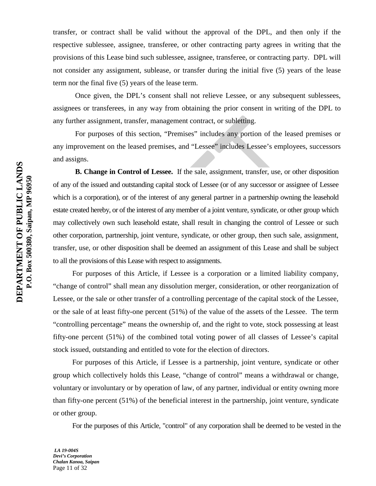transfer, or contract shall be valid without the approval of the DPL, and then only if the respective sublessee, assignee, transferee, or other contracting party agrees in writing that the provisions of this Lease bind such sublessee, assignee, transferee, or contracting party. DPL will not consider any assignment, sublease, or transfer during the initial five (5) years of the lease term nor the final five (5) years of the lease term.

Once given, the DPL's consent shall not relieve Lessee, or any subsequent sublessees, assignees or transferees, in any way from obtaining the prior consent in writing of the DPL to any further assignment, transfer, management contract, or subletting.

For purposes of this section, "Premises" includes any portion of the leased premises or any improvement on the leased premises, and "Lessee" includes Lessee's employees, successors and assigns.

**B. Change in Control of Lessee.** If the sale, assignment, transfer, use, or other disposition of any of the issued and outstanding capital stock of Lessee (or of any successor or assignee of Lessee which is a corporation), or of the interest of any general partner in a partnership owning the leasehold estate created hereby, or of the interest of any member of a joint venture, syndicate, or other group which may collectively own such leasehold estate, shall result in changing the control of Lessee or such other corporation, partnership, joint venture, syndicate, or other group, then such sale, assignment, transfer, use, or other disposition shall be deemed an assignment of this Lease and shall be subject to all the provisions of this Lease with respect to assignments.

For purposes of this Article, if Lessee is a corporation or a limited liability company, "change of control" shall mean any dissolution merger, consideration, or other reorganization of Lessee, or the sale or other transfer of a controlling percentage of the capital stock of the Lessee, or the sale of at least fifty-one percent (51%) of the value of the assets of the Lessee. The term "controlling percentage" means the ownership of, and the right to vote, stock possessing at least fifty-one percent (51%) of the combined total voting power of all classes of Lessee's capital stock issued, outstanding and entitled to vote for the election of directors.

For purposes of this Article, if Lessee is a partnership, joint venture, syndicate or other group which collectively holds this Lease, "change of control" means a withdrawal or change, voluntary or involuntary or by operation of law, of any partner, individual or entity owning more than fifty-one percent (51%) of the beneficial interest in the partnership, joint venture, syndicate or other group.

For the purposes of this Article, "control" of any corporation shall be deemed to be vested in the

*LA 19-004S Devi's Corporation Chalan Kanoa, Saipan* Page 11 of 32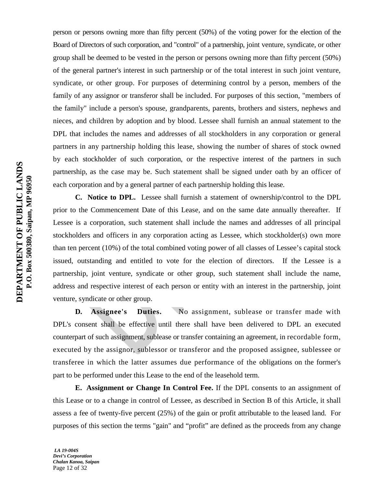person or persons owning more than fifty percent (50%) of the voting power for the election of the Board of Directors of such corporation, and "control" of a partnership, joint venture, syndicate, or other group shall be deemed to be vested in the person or persons owning more than fifty percent (50%) of the general partner's interest in such partnership or of the total interest in such joint venture, syndicate, or other group. For purposes of determining control by a person, members of the family of any assignor or transferor shall be included. For purposes of this section, "members of the family" include a person's spouse, grandparents, parents, brothers and sisters, nephews and nieces, and children by adoption and by blood. Lessee shall furnish an annual statement to the DPL that includes the names and addresses of all stockholders in any corporation or general partners in any partnership holding this lease, showing the number of shares of stock owned by each stockholder of such corporation, or the respective interest of the partners in such partnership, as the case may be. Such statement shall be signed under oath by an officer of each corporation and by a general partner of each partnership holding this lease.

**C. Notice to DPL.** Lessee shall furnish a statement of ownership/control to the DPL prior to the Commencement Date of this Lease, and on the same date annually thereafter. If Lessee is a corporation, such statement shall include the names and addresses of all principal stockholders and officers in any corporation acting as Lessee, which stockholder(s) own more than ten percent (10%) of the total combined voting power of all classes of Lessee's capital stock issued, outstanding and entitled to vote for the election of directors. If the Lessee is a partnership, joint venture, syndicate or other group, such statement shall include the name, address and respective interest of each person or entity with an interest in the partnership, joint venture, syndicate or other group.

**D.** Assignee's Duties. No assignment, sublease or transfer made with DPL's consent shall be effective until there shall have been delivered to DPL an executed counterpart of such assignment, sublease or transfer containing an agreement, in recordable form, executed by the assignor, sublessor or transferor and the proposed assignee, sublessee or transferee in which the latter assumes due performance of the obligations on the former's part to be performed under this Lease to the end of the leasehold term.

**E. Assignment or Change In Control Fee.** If the DPL consents to an assignment of this Lease or to a change in control of Lessee, as described in Section B of this Article, it shall assess a fee of twenty-five percent (25%) of the gain or profit attributable to the leased land. For purposes of this section the terms "gain" and "profit" are defined as the proceeds from any change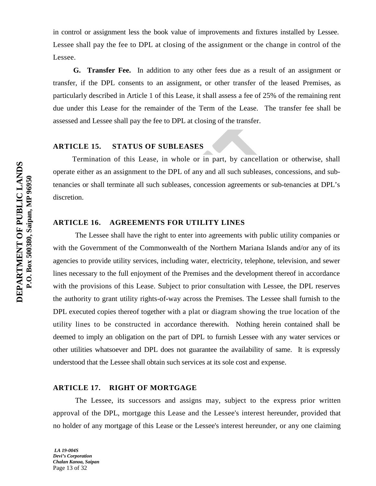in control or assignment less the book value of improvements and fixtures installed by Lessee. Lessee shall pay the fee to DPL at closing of the assignment or the change in control of the Lessee.

 **G. Transfer Fee.** In addition to any other fees due as a result of an assignment or transfer, if the DPL consents to an assignment, or other transfer of the leased Premises, as particularly described in Article 1 of this Lease, it shall assess a fee of 25% of the remaining rent due under this Lease for the remainder of the Term of the Lease. The transfer fee shall be assessed and Lessee shall pay the fee to DPL at closing of the transfer.

## **ARTICLE 15. STATUS OF SUBLEASES**

Termination of this Lease, in whole or in part, by cancellation or otherwise, shall operate either as an assignment to the DPL of any and all such subleases, concessions, and subtenancies or shall terminate all such subleases, concession agreements or sub-tenancies at DPL's discretion.

## **ARTICLE 16. AGREEMENTS FOR UTILITY LINES**

The Lessee shall have the right to enter into agreements with public utility companies or with the Government of the Commonwealth of the Northern Mariana Islands and/or any of its agencies to provide utility services, including water, electricity, telephone, television, and sewer lines necessary to the full enjoyment of the Premises and the development thereof in accordance with the provisions of this Lease. Subject to prior consultation with Lessee, the DPL reserves the authority to grant utility rights-of-way across the Premises. The Lessee shall furnish to the DPL executed copies thereof together with a plat or diagram showing the true location of the utility lines to be constructed in accordance therewith. Nothing herein contained shall be deemed to imply an obligation on the part of DPL to furnish Lessee with any water services or other utilities whatsoever and DPL does not guarantee the availability of same. It is expressly understood that the Lessee shall obtain such services at its sole cost and expense.

## **ARTICLE 17. RIGHT OF MORTGAGE**

The Lessee, its successors and assigns may, subject to the express prior written approval of the DPL, mortgage this Lease and the Lessee's interest hereunder, provided that no holder of any mortgage of this Lease or the Lessee's interest hereunder, or any one claiming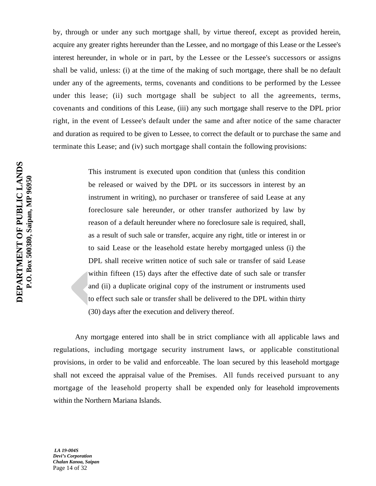by, through or under any such mortgage shall, by virtue thereof, except as provided herein, acquire any greater rights hereunder than the Lessee, and no mortgage of this Lease or the Lessee's interest hereunder, in whole or in part, by the Lessee or the Lessee's successors or assigns shall be valid, unless: (i) at the time of the making of such mortgage, there shall be no default under any of the agreements, terms, covenants and conditions to be performed by the Lessee under this lease; (ii) such mortgage shall be subject to all the agreements, terms, covenants and conditions of this Lease, (iii) any such mortgage shall reserve to the DPL prior right, in the event of Lessee's default under the same and after notice of the same character and duration as required to be given to Lessee, to correct the default or to purchase the same and terminate this Lease; and (iv) such mortgage shall contain the following provisions:

> This instrument is executed upon condition that (unless this condition be released or waived by the DPL or its successors in interest by an instrument in writing), no purchaser or transferee of said Lease at any foreclosure sale hereunder, or other transfer authorized by law by reason of a default hereunder where no foreclosure sale is required, shall, as a result of such sale or transfer, acquire any right, title or interest in or to said Lease or the leasehold estate hereby mortgaged unless (i) the DPL shall receive written notice of such sale or transfer of said Lease within fifteen (15) days after the effective date of such sale or transfer and (ii) a duplicate original copy of the instrument or instruments used to effect such sale or transfer shall be delivered to the DPL within thirty (30) days after the execution and delivery thereof.

Any mortgage entered into shall be in strict compliance with all applicable laws and regulations, including mortgage security instrument laws, or applicable constitutional provisions, in order to be valid and enforceable. The loan secured by this leasehold mortgage shall not exceed the appraisal value of the Premises. All funds received pursuant to any mortgage of the leasehold property shall be expended only for leasehold improvements within the Northern Mariana Islands.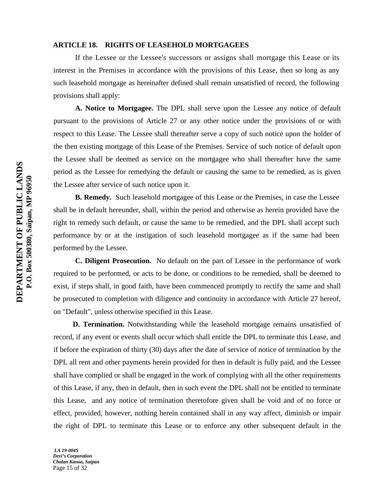#### **ARTICLE 18. RIGHTS OF LEASEHOLD MORTGAGEES**

If the Lessee or the Lessee's successors or assigns shall mortgage this Lease or its interest in the Premises in accordance with the provisions of this Lease, then so long as any such leasehold mortgage as hereinafter defined shall remain unsatisfied of record, the following provisions shall apply:

**A. Notice to Mortgagee.** The DPL shall serve upon the Lessee any notice of default pursuant to the provisions of Article 27 or any other notice under the provisions of or with respect to this Lease. The Lessee shall thereafter serve a copy of such notice upon the holder of the then existing mortgage of this Lease of the Premises. Service of such notice of default upon the Lessee shall be deemed as service on the mortgagee who shall thereafter have the same period as the Lessee for remedying the default or causing the same to be remedied, as is given the Lessee after service of such notice upon it.

**B. Remedy.** Such leasehold mortgagee of this Lease or the Premises, in case the Lessee shall be in default hereunder, shall, within the period and otherwise as herein provided have the right to remedy such default, or cause the same to be remedied, and the DPL shall accept such performance by or at the instigation of such leasehold mortgagee as if the same had been performed by the Lessee.

**C. Diligent Prosecution.** No default on the part of Lessee in the performance of work required to be performed, or acts to be done, or conditions to be remedied, shall be deemed to exist, if steps shall, in good faith, have been commenced promptly to rectify the same and shall be prosecuted to completion with diligence and continuity in accordance with Article 27 hereof, on "Default", unless otherwise specified in this Lease.

**D. Termination.** Notwithstanding while the leasehold mortgage remains unsatisfied of record, if any event or events shall occur which shall entitle the DPL to terminate this Lease, and if before the expiration of thirty (30) days after the date of service of notice of termination by the DPL all rent and other payments herein provided for then in default is fully paid, and the Lessee shall have complied or shall be engaged in the work of complying with all the other requirements of this Lease, if any, then in default, then in such event the DPL shall not be entitled to terminate this Lease, and any notice of termination theretofore given shall be void and of no force or effect, provided, however, nothing herein contained shall in any way affect, diminish or impair the right of DPL to terminate this Lease or to enforce any other subsequent default in the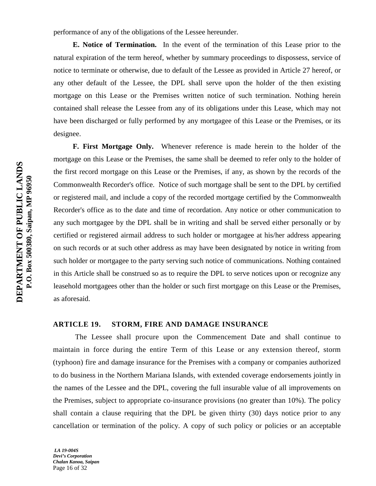performance of any of the obligations of the Lessee hereunder.

**E. Notice of Termination.** In the event of the termination of this Lease prior to the natural expiration of the term hereof, whether by summary proceedings to dispossess, service of notice to terminate or otherwise, due to default of the Lessee as provided in Article 27 hereof, or any other default of the Lessee, the DPL shall serve upon the holder of the then existing mortgage on this Lease or the Premises written notice of such termination. Nothing herein contained shall release the Lessee from any of its obligations under this Lease, which may not have been discharged or fully performed by any mortgagee of this Lease or the Premises, or its designee.

**F. First Mortgage Only.** Whenever reference is made herein to the holder of the mortgage on this Lease or the Premises, the same shall be deemed to refer only to the holder of the first record mortgage on this Lease or the Premises, if any, as shown by the records of the Commonwealth Recorder's office. Notice of such mortgage shall be sent to the DPL by certified or registered mail, and include a copy of the recorded mortgage certified by the Commonwealth Recorder's office as to the date and time of recordation. Any notice or other communication to any such mortgagee by the DPL shall be in writing and shall be served either personally or by certified or registered airmail address to such holder or mortgagee at his/her address appearing on such records or at such other address as may have been designated by notice in writing from such holder or mortgagee to the party serving such notice of communications. Nothing contained in this Article shall be construed so as to require the DPL to serve notices upon or recognize any leasehold mortgagees other than the holder or such first mortgage on this Lease or the Premises, as aforesaid.

#### **ARTICLE 19. STORM, FIRE AND DAMAGE INSURANCE**

The Lessee shall procure upon the Commencement Date and shall continue to maintain in force during the entire Term of this Lease or any extension thereof, storm (typhoon) fire and damage insurance for the Premises with a company or companies authorized to do business in the Northern Mariana Islands, with extended coverage endorsements jointly in the names of the Lessee and the DPL, covering the full insurable value of all improvements on the Premises, subject to appropriate co-insurance provisions (no greater than 10%). The policy shall contain a clause requiring that the DPL be given thirty (30) days notice prior to any cancellation or termination of the policy. A copy of such policy or policies or an acceptable

*LA 19-004S Devi's Corporation Chalan Kanoa, Saipan* Page 16 of 32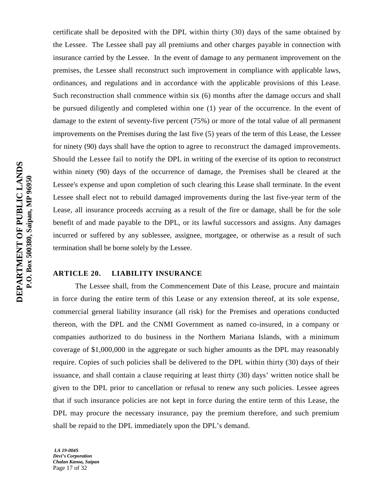certificate shall be deposited with the DPL within thirty (30) days of the same obtained by the Lessee. The Lessee shall pay all premiums and other charges payable in connection with insurance carried by the Lessee. In the event of damage to any permanent improvement on the premises, the Lessee shall reconstruct such improvement in compliance with applicable laws, ordinances, and regulations and in accordance with the applicable provisions of this Lease. Such reconstruction shall commence within six (6) months after the damage occurs and shall be pursued diligently and completed within one (1) year of the occurrence. In the event of damage to the extent of seventy-five percent (75%) or more of the total value of all permanent improvements on the Premises during the last five (5) years of the term of this Lease, the Lessee for ninety (90) days shall have the option to agree to reconstruct the damaged improvements. Should the Lessee fail to notify the DPL in writing of the exercise of its option to reconstruct within ninety (90) days of the occurrence of damage, the Premises shall be cleared at the Lessee's expense and upon completion of such clearing this Lease shall terminate. In the event Lessee shall elect not to rebuild damaged improvements during the last five-year term of the Lease, all insurance proceeds accruing as a result of the fire or damage, shall be for the sole benefit of and made payable to the DPL, or its lawful successors and assigns. Any damages incurred or suffered by any sublessee, assignee, mortgagee, or otherwise as a result of such termination shall be borne solely by the Lessee.

## **ARTICLE 20. LIABILITY INSURANCE**

The Lessee shall, from the Commencement Date of this Lease, procure and maintain in force during the entire term of this Lease or any extension thereof, at its sole expense, commercial general liability insurance (all risk) for the Premises and operations conducted thereon, with the DPL and the CNMI Government as named co-insured, in a company or companies authorized to do business in the Northern Mariana Islands, with a minimum coverage of \$1,000,000 in the aggregate or such higher amounts as the DPL may reasonably require. Copies of such policies shall be delivered to the DPL within thirty (30) days of their issuance, and shall contain a clause requiring at least thirty (30) days' written notice shall be given to the DPL prior to cancellation or refusal to renew any such policies. Lessee agrees that if such insurance policies are not kept in force during the entire term of this Lease, the DPL may procure the necessary insurance, pay the premium therefore, and such premium shall be repaid to the DPL immediately upon the DPL's demand.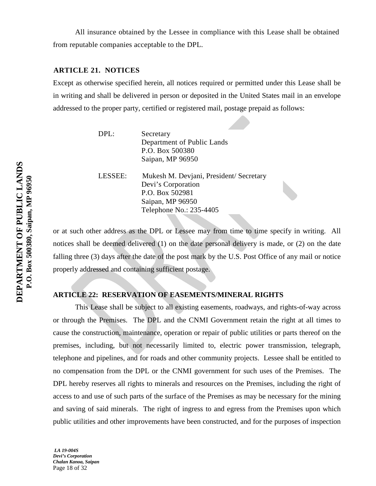All insurance obtained by the Lessee in compliance with this Lease shall be obtained from reputable companies acceptable to the DPL.

## **ARTICLE 21. NOTICES**

Except as otherwise specified herein, all notices required or permitted under this Lease shall be in writing and shall be delivered in person or deposited in the United States mail in an envelope addressed to the proper party, certified or registered mail, postage prepaid as follows:

| Secretary                  |
|----------------------------|
| Department of Public Lands |
| P.O. Box 500380            |
| Saipan, MP 96950           |
|                            |

LESSEE: Mukesh M. Devjani, President/ Secretary Devi's Corporation P.O. Box 502981 Saipan, MP 96950 Telephone No.: 235-4405

or at such other address as the DPL or Lessee may from time to time specify in writing. All notices shall be deemed delivered (1) on the date personal delivery is made, or (2) on the date falling three (3) days after the date of the post mark by the U.S. Post Office of any mail or notice properly addressed and containing sufficient postage.

## **ARTICLE 22: RESERVATION OF EASEMENTS/MINERAL RIGHTS**

This Lease shall be subject to all existing easements, roadways, and rights-of-way across or through the Premises. The DPL and the CNMI Government retain the right at all times to cause the construction, maintenance, operation or repair of public utilities or parts thereof on the premises, including, but not necessarily limited to, electric power transmission, telegraph, telephone and pipelines, and for roads and other community projects. Lessee shall be entitled to no compensation from the DPL or the CNMI government for such uses of the Premises. The DPL hereby reserves all rights to minerals and resources on the Premises, including the right of access to and use of such parts of the surface of the Premises as may be necessary for the mining and saving of said minerals. The right of ingress to and egress from the Premises upon which public utilities and other improvements have been constructed, and for the purposes of inspection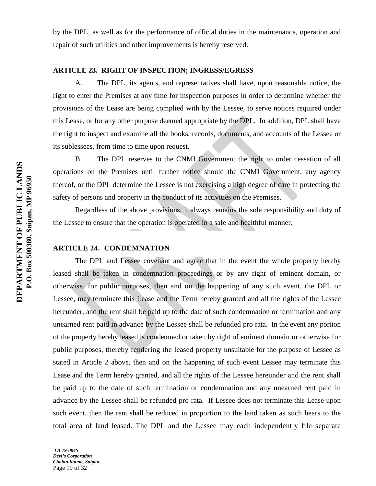by the DPL, as well as for the performance of official duties in the maintenance, operation and repair of such utilities and other improvements is hereby reserved.

## **ARTICLE 23. RIGHT OF INSPECTION; INGRESS/EGRESS**

A. The DPL, its agents, and representatives shall have, upon reasonable notice, the right to enter the Premises at any time for inspection purposes in order to determine whether the provisions of the Lease are being complied with by the Lessee, to serve notices required under this Lease, or for any other purpose deemed appropriate by the DPL. In addition, DPL shall have the right to inspect and examine all the books, records, documents, and accounts of the Lessee or its sublessees, from time to time upon request.

B. The DPL reserves to the CNMI Government the right to order cessation of all operations on the Premises until further notice should the CNMI Government, any agency thereof, or the DPL determine the Lessee is not exercising a high degree of care in protecting the safety of persons and property in the conduct of its activities on the Premises.

Regardless of the above provisions, it always remains the sole responsibility and duty of the Lessee to ensure that the operation is operated in a safe and healthful manner.

## **ARTICLE 24. CONDEMNATION**

The DPL and Lessee covenant and agree that in the event the whole property hereby leased shall be taken in condemnation proceedings or by any right of eminent domain, or otherwise, for public purposes, then and on the happening of any such event, the DPL or Lessee, may terminate this Lease and the Term hereby granted and all the rights of the Lessee hereunder, and the rent shall be paid up to the date of such condemnation or termination and any unearned rent paid in advance by the Lessee shall be refunded pro rata. In the event any portion of the property hereby leased is condemned or taken by right of eminent domain or otherwise for public purposes, thereby rendering the leased property unsuitable for the purpose of Lessee as stated in Article 2 above, then and on the happening of such event Lessee may terminate this Lease and the Term hereby granted, and all the rights of the Lessee hereunder and the rent shall be paid up to the date of such termination or condemnation and any unearned rent paid in advance by the Lessee shall be refunded pro rata. If Lessee does not terminate this Lease upon such event, then the rent shall be reduced in proportion to the land taken as such bears to the total area of land leased. The DPL and the Lessee may each independently file separate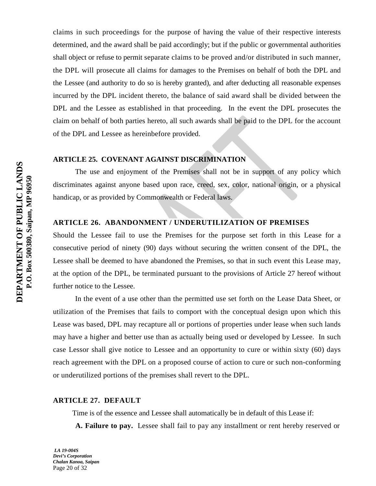claims in such proceedings for the purpose of having the value of their respective interests determined, and the award shall be paid accordingly; but if the public or governmental authorities shall object or refuse to permit separate claims to be proved and/or distributed in such manner, the DPL will prosecute all claims for damages to the Premises on behalf of both the DPL and the Lessee (and authority to do so is hereby granted), and after deducting all reasonable expenses incurred by the DPL incident thereto, the balance of said award shall be divided between the DPL and the Lessee as established in that proceeding. In the event the DPL prosecutes the claim on behalf of both parties hereto, all such awards shall be paid to the DPL for the account of the DPL and Lessee as hereinbefore provided.

## **ARTICLE 25. COVENANT AGAINST DISCRIMINATION**

The use and enjoyment of the Premises shall not be in support of any policy which discriminates against anyone based upon race, creed, sex, color, national origin, or a physical handicap, or as provided by Commonwealth or Federal laws.

## **ARTICLE 26. ABANDONMENT / UNDERUTILIZATION OF PREMISES**

Should the Lessee fail to use the Premises for the purpose set forth in this Lease for a consecutive period of ninety (90) days without securing the written consent of the DPL, the Lessee shall be deemed to have abandoned the Premises, so that in such event this Lease may, at the option of the DPL, be terminated pursuant to the provisions of Article 27 hereof without further notice to the Lessee.

In the event of a use other than the permitted use set forth on the Lease Data Sheet, or utilization of the Premises that fails to comport with the conceptual design upon which this Lease was based, DPL may recapture all or portions of properties under lease when such lands may have a higher and better use than as actually being used or developed by Lessee. In such case Lessor shall give notice to Lessee and an opportunity to cure or within sixty (60) days reach agreement with the DPL on a proposed course of action to cure or such non-conforming or underutilized portions of the premises shall revert to the DPL.

#### **ARTICLE 27. DEFAULT**

Time is of the essence and Lessee shall automatically be in default of this Lease if:

**A. Failure to pay.** Lessee shall fail to pay any installment or rent hereby reserved or

*LA 19-004S Devi's Corporation Chalan Kanoa, Saipan* Page 20 of 32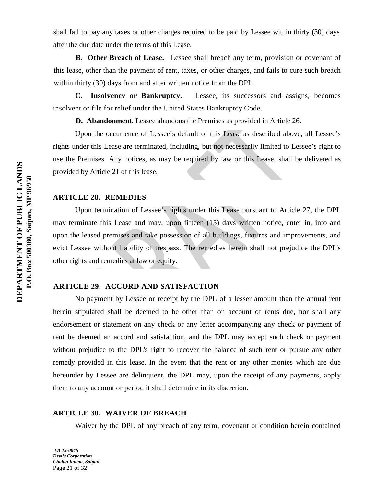shall fail to pay any taxes or other charges required to be paid by Lessee within thirty (30) days after the due date under the terms of this Lease.

**B. Other Breach of Lease.** Lessee shall breach any term, provision or covenant of this lease, other than the payment of rent, taxes, or other charges, and fails to cure such breach within thirty (30) days from and after written notice from the DPL.

 **C. Insolvency or Bankruptcy.** Lessee, its successors and assigns, becomes insolvent or file for relief under the United States Bankruptcy Code.

**D. Abandonment.** Lessee abandons the Premises as provided in Article 26.

Upon the occurrence of Lessee's default of this Lease as described above, all Lessee's rights under this Lease are terminated, including, but not necessarily limited to Lessee's right to use the Premises. Any notices, as may be required by law or this Lease, shall be delivered as provided by Article 21 of this lease.

## **ARTICLE 28. REMEDIES**

Upon termination of Lessee's rights under this Lease pursuant to Article 27, the DPL may terminate this Lease and may, upon fifteen (15) days written notice, enter in, into and upon the leased premises and take possession of all buildings, fixtures and improvements, and evict Lessee without liability of trespass. The remedies herein shall not prejudice the DPL's other rights and remedies at law or equity.

## **ARTICLE 29. ACCORD AND SATISFACTION**

No payment by Lessee or receipt by the DPL of a lesser amount than the annual rent herein stipulated shall be deemed to be other than on account of rents due, nor shall any endorsement or statement on any check or any letter accompanying any check or payment of rent be deemed an accord and satisfaction, and the DPL may accept such check or payment without prejudice to the DPL's right to recover the balance of such rent or pursue any other remedy provided in this lease. In the event that the rent or any other monies which are due hereunder by Lessee are delinquent, the DPL may, upon the receipt of any payments, apply them to any account or period it shall determine in its discretion.

#### **ARTICLE 30. WAIVER OF BREACH**

Waiver by the DPL of any breach of any term, covenant or condition herein contained

*LA 19-004S Devi's Corporation Chalan Kanoa, Saipan* Page 21 of 32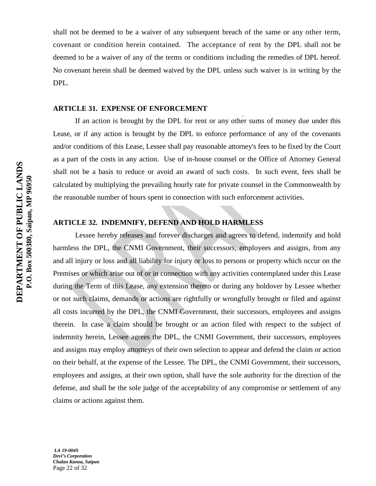shall not be deemed to be a waiver of any subsequent breach of the same or any other term, covenant or condition herein contained. The acceptance of rent by the DPL shall not be deemed to be a waiver of any of the terms or conditions including the remedies of DPL hereof. No covenant herein shall be deemed waived by the DPL unless such waiver is in writing by the DPL.

#### **ARTICLE 31. EXPENSE OF ENFORCEMENT**

If an action is brought by the DPL for rent or any other sums of money due under this Lease, or if any action is brought by the DPL to enforce performance of any of the covenants and/or conditions of this Lease, Lessee shall pay reasonable attorney's fees to be fixed by the Court as a part of the costs in any action. Use of in-house counsel or the Office of Attorney General shall not be a basis to reduce or avoid an award of such costs. In such event, fees shall be calculated by multiplying the prevailing hourly rate for private counsel in the Commonwealth by the reasonable number of hours spent in connection with such enforcement activities.

## **ARTICLE 32. INDEMNIFY, DEFEND AND HOLD HARMLESS**

Lessee hereby releases and forever discharges and agrees to defend, indemnify and hold harmless the DPL, the CNMI Government, their successors, employees and assigns, from any and all injury or loss and all liability for injury or loss to persons or property which occur on the Premises or which arise out of or in connection with any activities contemplated under this Lease during the Term of this Lease, any extension thereto or during any holdover by Lessee whether or not such claims, demands or actions are rightfully or wrongfully brought or filed and against all costs incurred by the DPL, the CNMI Government, their successors, employees and assigns therein. In case a claim should be brought or an action filed with respect to the subject of indemnity herein, Lessee agrees the DPL, the CNMI Government, their successors, employees and assigns may employ attorneys of their own selection to appear and defend the claim or action on their behalf, at the expense of the Lessee. The DPL, the CNMI Government, their successors, employees and assigns, at their own option, shall have the sole authority for the direction of the defense, and shall be the sole judge of the acceptability of any compromise or settlement of any claims or actions against them.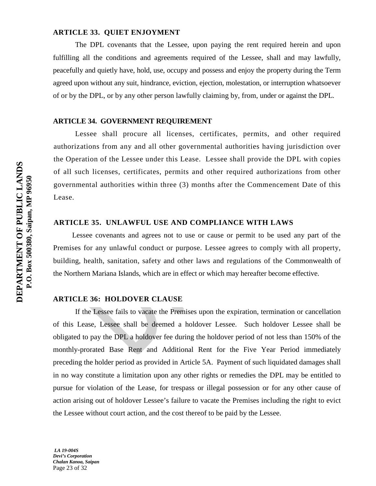#### **ARTICLE 33. QUIET ENJOYMENT**

The DPL covenants that the Lessee, upon paying the rent required herein and upon fulfilling all the conditions and agreements required of the Lessee, shall and may lawfully, peacefully and quietly have, hold, use, occupy and possess and enjoy the property during the Term agreed upon without any suit, hindrance, eviction, ejection, molestation, or interruption whatsoever of or by the DPL, or by any other person lawfully claiming by, from, under or against the DPL.

#### **ARTICLE 34. GOVERNMENT REQUIREMENT**

Lessee shall procure all licenses, certificates, permits, and other required authorizations from any and all other governmental authorities having jurisdiction over the Operation of the Lessee under this Lease. Lessee shall provide the DPL with copies of all such licenses, certificates, permits and other required authorizations from other governmental authorities within three (3) months after the Commencement Date of this Lease.

## **ARTICLE 35. UNLAWFUL USE AND COMPLIANCE WITH LAWS**

Lessee covenants and agrees not to use or cause or permit to be used any part of the Premises for any unlawful conduct or purpose. Lessee agrees to comply with all property, building, health, sanitation, safety and other laws and regulations of the Commonwealth of the Northern Mariana Islands, which are in effect or which may hereafter become effective.

#### **ARTICLE 36: HOLDOVER CLAUSE**

If the Lessee fails to vacate the Premises upon the expiration, termination or cancellation of this Lease, Lessee shall be deemed a holdover Lessee. Such holdover Lessee shall be obligated to pay the DPL a holdover fee during the holdover period of not less than 150% of the monthly-prorated Base Rent and Additional Rent for the Five Year Period immediately preceding the holder period as provided in Article 5A. Payment of such liquidated damages shall in no way constitute a limitation upon any other rights or remedies the DPL may be entitled to pursue for violation of the Lease, for trespass or illegal possession or for any other cause of action arising out of holdover Lessee's failure to vacate the Premises including the right to evict the Lessee without court action, and the cost thereof to be paid by the Lessee.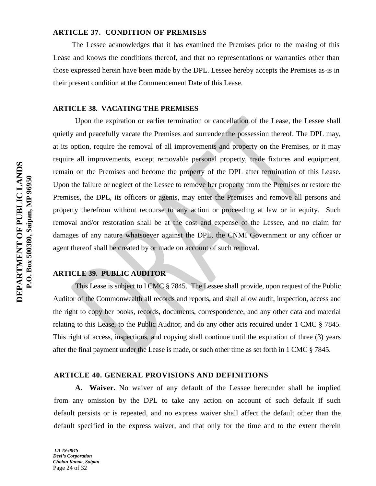## **ARTICLE 37. CONDITION OF PREMISES**

The Lessee acknowledges that it has examined the Premises prior to the making of this Lease and knows the conditions thereof, and that no representations or warranties other than those expressed herein have been made by the DPL. Lessee hereby accepts the Premises as-is in their present condition at the Commencement Date of this Lease.

#### **ARTICLE 38. VACATING THE PREMISES**

Upon the expiration or earlier termination or cancellation of the Lease, the Lessee shall quietly and peacefully vacate the Premises and surrender the possession thereof. The DPL may, at its option, require the removal of all improvements and property on the Premises, or it may require all improvements, except removable personal property, trade fixtures and equipment, remain on the Premises and become the property of the DPL after termination of this Lease. Upon the failure or neglect of the Lessee to remove her property from the Premises or restore the Premises, the DPL, its officers or agents, may enter the Premises and remove all persons and property therefrom without recourse to any action or proceeding at law or in equity. Such removal and/or restoration shall be at the cost and expense of the Lessee, and no claim for damages of any nature whatsoever against the DPL, the CNMI Government or any officer or agent thereof shall be created by or made on account of such removal.

## **ARTICLE 39. PUBLIC AUDITOR**

This Lease is subject to l CMC § 7845. The Lessee shall provide, upon request of the Public Auditor of the Commonwealth all records and reports, and shall allow audit, inspection, access and the right to copy her books, records, documents, correspondence, and any other data and material relating to this Lease, to the Public Auditor, and do any other acts required under 1 CMC § 7845. This right of access, inspections, and copying shall continue until the expiration of three (3) years after the final payment under the Lease is made, or such other time as set forth in 1 CMC § 7845.

## **ARTICLE 40. GENERAL PROVISIONS AND DEFINITIONS**

**A. Waiver.** No waiver of any default of the Lessee hereunder shall be implied from any omission by the DPL to take any action on account of such default if such default persists or is repeated, and no express waiver shall affect the default other than the default specified in the express waiver, and that only for the time and to the extent therein

*LA 19-004S Devi's Corporation Chalan Kanoa, Saipan* Page 24 of 32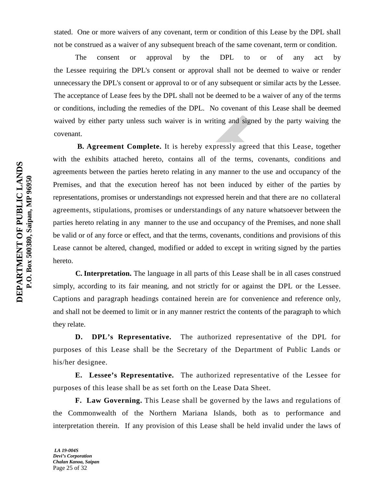stated. One or more waivers of any covenant, term or condition of this Lease by the DPL shall not be construed as a waiver of any subsequent breach of the same covenant, term or condition.

The consent or approval by the DPL to or of any act by the Lessee requiring the DPL's consent or approval shall not be deemed to waive or render unnecessary the DPL's consent or approval to or of any subsequent or similar acts by the Lessee. The acceptance of Lease fees by the DPL shall not be deemed to be a waiver of any of the terms or conditions, including the remedies of the DPL. No covenant of this Lease shall be deemed waived by either party unless such waiver is in writing and signed by the party waiving the covenant.

 **B. Agreement Complete.** It is hereby expressly agreed that this Lease, together with the exhibits attached hereto, contains all of the terms, covenants, conditions and agreements between the parties hereto relating in any manner to the use and occupancy of the Premises, and that the execution hereof has not been induced by either of the parties by representations, promises or understandings not expressed herein and that there are no collateral agreements, stipulations, promises or understandings of any nature whatsoever between the parties hereto relating in any manner to the use and occupancy of the Premises, and none shall be valid or of any force or effect, and that the terms, covenants, conditions and provisions of this Lease cannot be altered, changed, modified or added to except in writing signed by the parties hereto.

 **C. Interpretation.** The language in all parts of this Lease shall be in all cases construed simply, according to its fair meaning, and not strictly for or against the DPL or the Lessee. Captions and paragraph headings contained herein are for convenience and reference only, and shall not be deemed to limit or in any manner restrict the contents of the paragraph to which they relate.

**D. DPL's Representative.** The authorized representative of the DPL for purposes of this Lease shall be the Secretary of the Department of Public Lands or his/her designee.

**E. Lessee's Representative.** The authorized representative of the Lessee for purposes of this lease shall be as set forth on the Lease Data Sheet.

**F. Law Governing.** This Lease shall be governed by the laws and regulations of the Commonwealth of the Northern Mariana Islands, both as to performance and interpretation therein. If any provision of this Lease shall be held invalid under the laws of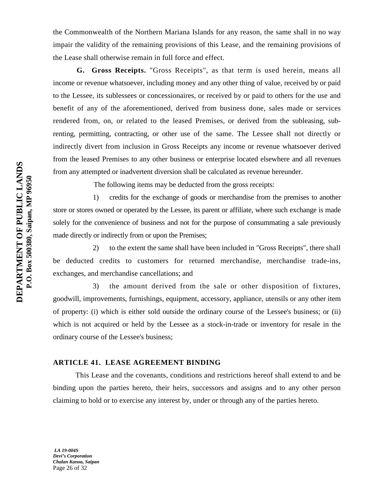the Commonwealth of the Northern Mariana Islands for any reason, the same shall in no way impair the validity of the remaining provisions of this Lease, and the remaining provisions of the Lease shall otherwise remain in full force and effect.

 **G. Gross Receipts.** "Gross Receipts", as that term is used herein, means all income or revenue whatsoever, including money and any other thing of value, received by or paid to the Lessee, its sublessees or concessionaires, or received by or paid to others for the use and benefit of any of the aforementioned, derived from business done, sales made or services rendered from, on, or related to the leased Premises, or derived from the subleasing, subrenting, permitting, contracting, or other use of the same. The Lessee shall not directly or indirectly divert from inclusion in Gross Receipts any income or revenue whatsoever derived from the leased Premises to any other business or enterprise located elsewhere and all revenues from any attempted or inadvertent diversion shall be calculated as revenue hereunder.

The following items may be deducted from the gross receipts:

1) credits for the exchange of goods or merchandise from the premises to another store or stores owned or operated by the Lessee, its parent or affiliate, where such exchange is made solely for the convenience of business and not for the purpose of consummating a sale previously made directly or indirectly from or upon the Premises;

2) to the extent the same shall have been included in "Gross Receipts", there shall be deducted credits to customers for returned merchandise, merchandise trade-ins, exchanges, and merchandise cancellations; and

3) the amount derived from the sale or other disposition of fixtures, goodwill, improvements, furnishings, equipment, accessory, appliance, utensils or any other item of property: (i) which is either sold outside the ordinary course of the Lessee's business; or (ii) which is not acquired or held by the Lessee as a stock-in-trade or inventory for resale in the ordinary course of the Lessee's business;

## **ARTICLE 41. LEASE AGREEMENT BINDING**

This Lease and the covenants, conditions and restrictions hereof shall extend to and be binding upon the parties hereto, their heirs, successors and assigns and to any other person claiming to hold or to exercise any interest by, under or through any of the parties hereto.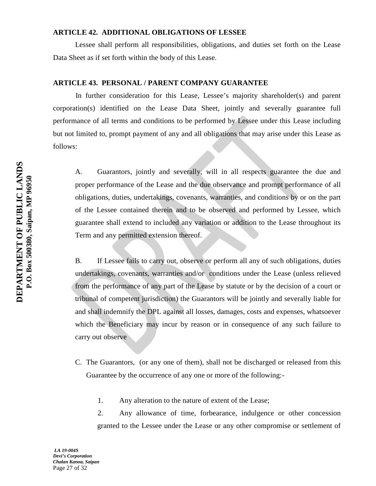## **ARTICLE 42. ADDITIONAL OBLIGATIONS OF LESSEE**

Lessee shall perform all responsibilities, obligations, and duties set forth on the Lease Data Sheet as if set forth within the body of this Lease.

#### **ARTICLE 43. PERSONAL / PARENT COMPANY GUARANTEE**

In further consideration for this Lease, Lessee's majority shareholder(s) and parent corporation(s) identified on the Lease Data Sheet, jointly and severally guarantee full performance of all terms and conditions to be performed by Lessee under this Lease including but not limited to, prompt payment of any and all obligations that may arise under this Lease as follows:

A. Guarantors, jointly and severally, will in all respects guarantee the due and proper performance of the Lease and the due observance and prompt performance of all obligations, duties, undertakings, covenants, warranties, and conditions by or on the part of the Lessee contained therein and to be observed and performed by Lessee, which guarantee shall extend to included any variation or addition to the Lease throughout its Term and any permitted extension thereof.

B. If Lessee fails to carry out, observe or perform all any of such obligations, duties undertakings, covenants, warranties and/or conditions under the Lease (unless relieved from the performance of any part of the Lease by statute or by the decision of a court or tribunal of competent jurisdiction) the Guarantors will be jointly and severally liable for and shall indemnify the DPL against all losses, damages, costs and expenses, whatsoever which the Beneficiary may incur by reason or in consequence of any such failure to carry out observe

- C. The Guarantors, (or any one of them), shall not be discharged or released from this Guarantee by the occurrence of any one or more of the following:-
	- 1. Any alteration to the nature of extent of the Lease;

2. Any allowance of time, forbearance, indulgence or other concession granted to the Lessee under the Lease or any other compromise or settlement of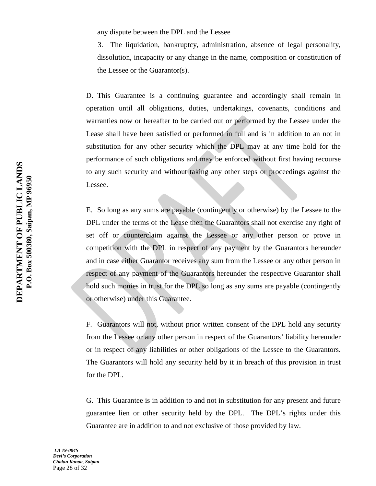any dispute between the DPL and the Lessee

3. The liquidation, bankruptcy, administration, absence of legal personality, dissolution, incapacity or any change in the name, composition or constitution of the Lessee or the Guarantor(s).

D. This Guarantee is a continuing guarantee and accordingly shall remain in operation until all obligations, duties, undertakings, covenants, conditions and warranties now or hereafter to be carried out or performed by the Lessee under the Lease shall have been satisfied or performed in full and is in addition to an not in substitution for any other security which the DPL may at any time hold for the performance of such obligations and may be enforced without first having recourse to any such security and without taking any other steps or proceedings against the Lessee.

E. So long as any sums are payable (contingently or otherwise) by the Lessee to the DPL under the terms of the Lease then the Guarantors shall not exercise any right of set off or counterclaim against the Lessee or any other person or prove in competition with the DPL in respect of any payment by the Guarantors hereunder and in case either Guarantor receives any sum from the Lessee or any other person in respect of any payment of the Guarantors hereunder the respective Guarantor shall hold such monies in trust for the DPL so long as any sums are payable (contingently or otherwise) under this Guarantee.

F. Guarantors will not, without prior written consent of the DPL hold any security from the Lessee or any other person in respect of the Guarantors' liability hereunder or in respect of any liabilities or other obligations of the Lessee to the Guarantors. The Guarantors will hold any security held by it in breach of this provision in trust for the DPL.

G. This Guarantee is in addition to and not in substitution for any present and future guarantee lien or other security held by the DPL. The DPL's rights under this Guarantee are in addition to and not exclusive of those provided by law.

*LA 19-004S Devi's Corporation Chalan Kanoa, Saipan* Page 28 of 32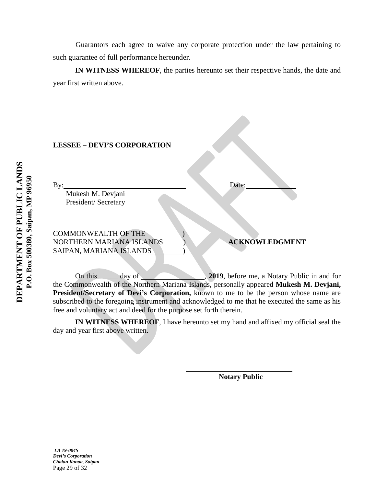Guarantors each agree to waive any corporate protection under the law pertaining to such guarantee of full performance hereunder.

**IN WITNESS WHEREOF**, the parties hereunto set their respective hands, the date and year first written above.

## **LESSEE – DEVI'S CORPORATION**

By: Date:

 Mukesh M. Devjani President/ Secretary

COMMONWEALTH OF THE ) NORTHERN MARIANA ISLANDS ) **ACKNOWLEDGMENT** SAIPAN, MARIANA ISLANDS )

On this day of , **2019**, before me, a Notary Public in and for the Commonwealth of the Northern Mariana Islands, personally appeared **Mukesh M. Devjani, President/Secretary of Devi's Corporation,** known to me to be the person whose name are subscribed to the foregoing instrument and acknowledged to me that he executed the same as his free and voluntary act and deed for the purpose set forth therein.

**IN WITNESS WHEREOF**, I have hereunto set my hand and affixed my official seal the day and year first above written.

 $\overline{a}$ 

**Notary Public** 

*LA 19-004S Devi's Corporation Chalan Kanoa, Saipan* Page 29 of 32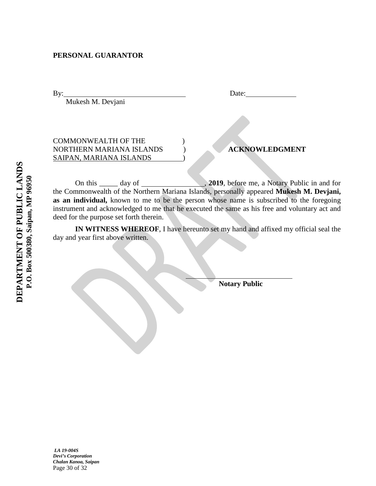## **PERSONAL GUARANTOR**

Mukesh M. Devjani

| $\overline{B}y$ | Date: |
|-----------------|-------|
|                 |       |

## COMMONWEALTH OF THE ) NORTHERN MARIANA ISLANDS ) **ACKNOWLEDGMENT** SAIPAN, MARIANA ISLANDS

On this  $\_\_\_\_$  day of , **2019**, before me, a Notary Public in and for the Commonwealth of the Northern Mariana Islands, personally appeared **Mukesh M. Devjani, as an individual,** known to me to be the person whose name is subscribed to the foregoing instrument and acknowledged to me that he executed the same as his free and voluntary act and deed for the purpose set forth therein.

**IN WITNESS WHEREOF**, I have hereunto set my hand and affixed my official seal the day and year first above written.

j

**Notary Public** 

*LA 19-004S Devi's Corporation Chalan Kanoa, Saipan* Page 30 of 32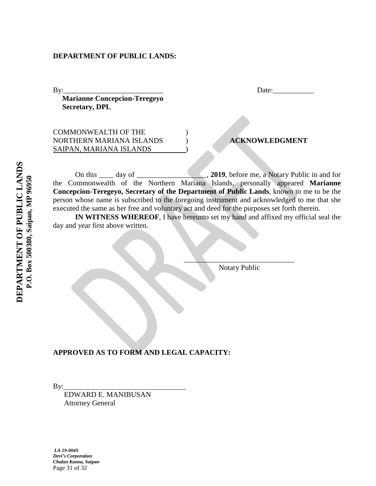**Marianne Concepcion-Teregeyo Secretary, DPL**

COMMONWEALTH OF THE ) NORTHERN MARIANA ISLANDS ) **ACKNOWLEDGMENT** SAIPAN, MARIANA ISLANDS

By:\_\_\_\_\_\_\_\_\_\_\_\_\_\_\_\_\_\_\_\_\_\_\_\_\_\_\_ Date:\_\_\_\_\_\_\_\_\_\_\_

On this \_\_\_\_ day of \_\_\_\_\_\_\_\_\_\_\_\_\_\_\_\_\_\_\_, **2019**, before me, a Notary Public in and for the Commonwealth of the Northern Mariana Islands, personally appeared **Marianne Concepcion-Teregeyo, Secretary of the Department of Public Lands**, known to me to be the person whose name is subscribed to the foregoing instrument and acknowledged to me that she executed the same as her free and voluntary act and deed for the purposes set forth therein.

**IN WITNESS WHEREOF**, I have hereunto set my hand and affixed my official seal the day and year first above written.

Notary Public

 $\mathcal{L}=\mathcal{L}=\mathcal{L}=\mathcal{L}=\mathcal{L}=\mathcal{L}=\mathcal{L}=\mathcal{L}=\mathcal{L}=\mathcal{L}=\mathcal{L}=\mathcal{L}=\mathcal{L}=\mathcal{L}=\mathcal{L}=\mathcal{L}=\mathcal{L}=\mathcal{L}=\mathcal{L}=\mathcal{L}=\mathcal{L}=\mathcal{L}=\mathcal{L}=\mathcal{L}=\mathcal{L}=\mathcal{L}=\mathcal{L}=\mathcal{L}=\mathcal{L}=\mathcal{L}=\mathcal{L}=\mathcal{L}=\mathcal{L}=\mathcal{L}=\mathcal{L}=\mathcal{L}=\mathcal{$ 

**APPROVED AS TO FORM AND LEGAL CAPACITY:** 

By:

 EDWARD E. MANIBUSAN Attorney General

*LA 19-004S Devi's Corporation Chalan Kanoa, Saipan* Page 31 of 32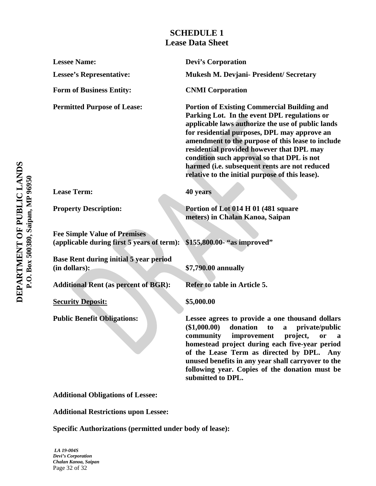# **SCHEDULE 1 Lease Data Sheet**

**Lessee Name: Devi's Corporation Lessee's Representative: Mukesh M. Devjani- President/ Secretary** Form of Business Entity: CNMI Corporation **Permitted Purpose of Lease: Portion of Existing Commercial Building and Parking Lot. In the event DPL regulations or applicable laws authorize the use of public lands for residential purposes, DPL may approve an amendment to the purpose of this lease to include residential provided however that DPL may condition such approval so that DPL is not harmed (i.e. subsequent rents are not reduced relative to the initial purpose of this lease). Lease Term: 40 years Property Description:** Portion of Lot 014 H 01 (481 square **meters) in Chalan Kanoa, Saipan Fee Simple Value of Premises (applicable during first 5 years of term): \$155,800.00- "as improved" Base Rent during initial 5 year period (in dollars): \$7,790.00 annually** Additional Rent (as percent of BGR): Refer to table in Article 5. **Security Deposit:** \$5,000.00 **Public Benefit Obligations: Lessee agrees to provide a one thousand dollars (\$1,000.00) donation to a private/public community improvement project, or a homestead project during each five-year period of the Lease Term as directed by DPL. Any unused benefits in any year shall carryover to the following year. Copies of the donation must be submitted to DPL.**

**Additional Obligations of Lessee:**

**Additional Restrictions upon Lessee:**

**Specific Authorizations (permitted under body of lease):**

*LA 19-004S Devi's Corporation Chalan Kanoa, Saipan* Page 32 of 32